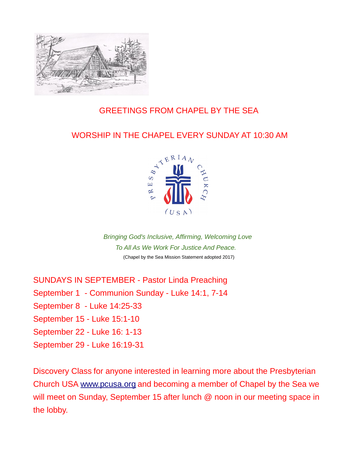

## GREETINGS FROM CHAPEL BY THE SEA

## WORSHIP IN THE CHAPEL EVERY SUNDAY AT 10:30 AM



*Bringing God's Inclusive, Affirming, Welcoming Love To All As We Work For Justice And Peace.* (Chapel by the Sea Mission Statement adopted 2017)

SUNDAYS IN SEPTEMBER - Pastor Linda Preaching

September 1 - Communion Sunday - Luke 14:1, 7-14

September 8 - Luke 14:25-33

September 15 - Luke 15:1-10

September 22 - Luke 16: 1-13

September 29 - Luke 16:19-31

Discovery Class for anyone interested in learning more about the Presbyterian Church USA [www.pcusa.org](http://www.pcusa.org/) and becoming a member of Chapel by the Sea we will meet on Sunday, September 15 after lunch @ noon in our meeting space in the lobby.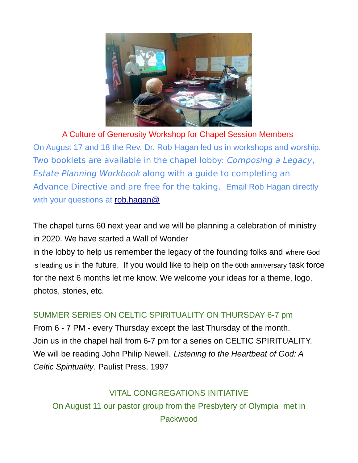

A Culture of Generosity Workshop for Chapel Session Members On August 17 and 18 the Rev. Dr. Rob Hagan led us in workshops and worship. Two booklets are available in the chapel lobby: Composing a Legacy, Estate Planning Workbook along with a guide to completing an Advance Directive and are free for the taking. Email Rob Hagan directly with your questions at [rob.hagan@](mailto:rob.hagan@presbyterianfoundation.org)

The chapel turns 60 next year and we will be planning a celebration of ministry in 2020. We have started a Wall of Wonder

in the lobby to help us remember the legacy of the founding folks and where God is leading us in the future. If you would like to help on the 60th anniversary task force for the next 6 months let me know. We welcome your ideas for a theme, logo, photos, stories, etc.

## SUMMER SERIES ON CELTIC SPIRITUALITY ON THURSDAY 6-7 pm

From 6 - 7 PM - every Thursday except the last Thursday of the month. Join us in the chapel hall from 6-7 pm for a series on CELTIC SPIRITUALITY. We will be reading John Philip Newell. *Listening to the Heartbeat of God: A Celtic Spirituality*. Paulist Press, 1997

VITAL CONGREGATIONS INITIATIVE On August 11 our pastor group from the Presbytery of Olympia met in Packwood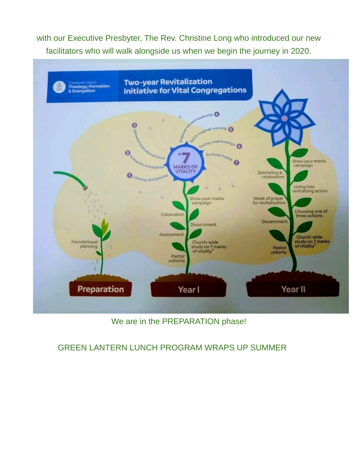with our Executive Presbyter, The Rev. Christine Long who introduced our new facilitators who will walk alongside us when we begin the journey in 2020.



### We are in the PREPARATION phase!

#### GREEN LANTERN LUNCH PROGRAM WRAPS UP SUMMER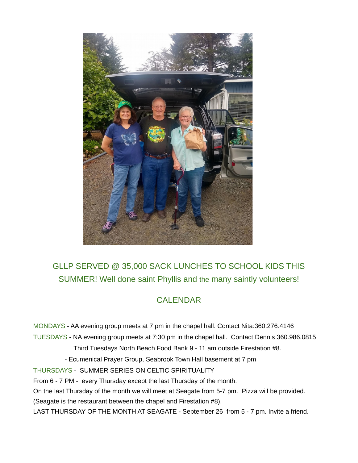

# GLLP SERVED @ 35,000 SACK LUNCHES TO SCHOOL KIDS THIS SUMMER! Well done saint Phyllis and the many saintly volunteers!

## CALENDAR

MONDAYS - AA evening group meets at 7 pm in the chapel hall. Contact Nita:360.276.4146 TUESDAYS - NA evening group meets at 7:30 pm in the chapel hall. Contact Dennis 360.986.0815 Third Tuesdays North Beach Food Bank 9 - 11 am outside Firestation #8. - Ecumenical Prayer Group, Seabrook Town Hall basement at 7 pm THURSDAYS - SUMMER SERIES ON CELTIC SPIRITUALITY From 6 - 7 PM - every Thursday except the last Thursday of the month. On the last Thursday of the month we will meet at Seagate from 5-7 pm. Pizza will be provided. (Seagate is the restaurant between the chapel and Firestation #8). LAST THURSDAY OF THE MONTH AT SEAGATE - September 26 from 5 - 7 pm. Invite a friend.